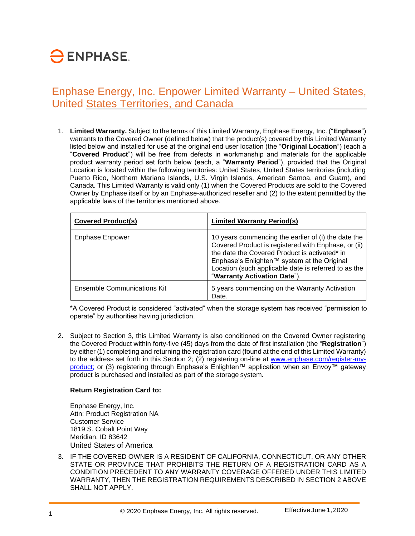# $\ominus$  ENPHASE.

### Enphase Energy, Inc. Enpower Limited Warranty – United States, United States Territories, and Canada

1. **Limited Warranty.** Subject to the terms of this Limited Warranty, Enphase Energy, Inc. ("**Enphase**") warrants to the Covered Owner (defined below) that the product(s) covered by this Limited Warranty listed below and installed for use at the original end user location (the "**Original Location**") (each a "**Covered Product**") will be free from defects in workmanship and materials for the applicable product warranty period set forth below (each, a "**Warranty Period**"), provided that the Original Location is located within the following territories: United States, United States territories (including Puerto Rico, Northern Mariana Islands, U.S. Virgin Islands, American Samoa, and Guam), and Canada. This Limited Warranty is valid only (1) when the Covered Products are sold to the Covered Owner by Enphase itself or by an Enphase-authorized reseller and (2) to the extent permitted by the applicable laws of the territories mentioned above.

| <b>Covered Product(s)</b>          | <b>Limited Warranty Period(s)</b>                                                                                                                                                                                                                                                                  |
|------------------------------------|----------------------------------------------------------------------------------------------------------------------------------------------------------------------------------------------------------------------------------------------------------------------------------------------------|
| Enphase Enpower                    | 10 years commencing the earlier of (i) the date the<br>Covered Product is registered with Enphase, or (ii)<br>the date the Covered Product is activated* in<br>Enphase's Enlighten™ system at the Original<br>Location (such applicable date is referred to as the<br>"Warranty Activation Date"). |
| <b>Ensemble Communications Kit</b> | 5 years commencing on the Warranty Activation<br>Date.                                                                                                                                                                                                                                             |

\*A Covered Product is considered "activated" when the storage system has received "permission to operate" by authorities having jurisdiction.

2. Subject to Section 3, this Limited Warranty is also conditioned on the Covered Owner registering the Covered Product within forty-five (45) days from the date of first installation (the "**Registration**") by either (1) completing and returning the registration card (found at the end of this Limited Warranty) to the address set forth in this Section 2; (2) registering on-line at [www.enphase.com/register-my](http://www.enphase.com/register-my-product)[product; o](http://www.enphase.com/register-my-product)r (3) registering through Enphase's Enlighten™ application when an Envoy™ gateway product is purchased and installed as part of the storage system.

#### **Return Registration Card to:**

Enphase Energy, Inc. Attn: Product Registration NA Customer Service 1819 S. Cobalt Point Way Meridian, ID 83642 United States of America

3. IF THE COVERED OWNER IS A RESIDENT OF CALIFORNIA, CONNECTICUT, OR ANY OTHER STATE OR PROVINCE THAT PROHIBITS THE RETURN OF A REGISTRATION CARD AS A CONDITION PRECEDENT TO ANY WARRANTY COVERAGE OFFERED UNDER THIS LIMITED WARRANTY, THEN THE REGISTRATION REQUIREMENTS DESCRIBED IN SECTION 2 ABOVE SHALL NOT APPLY.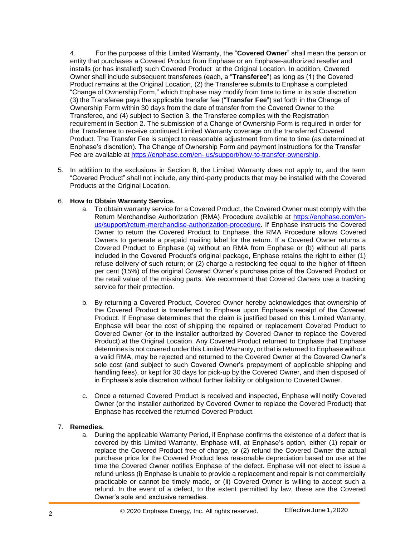4. For the purposes of this Limited Warranty, the "**Covered Owner**" shall mean the person or entity that purchases a Covered Product from Enphase or an Enphase-authorized reseller and installs (or has installed) such Covered Product at the Original Location. In addition, Covered Owner shall include subsequent transferees (each, a "**Transferee**") as long as (1) the Covered Product remains at the Original Location, (2) the Transferee submits to Enphase a completed "Change of Ownership Form," which Enphase may modify from time to time in its sole discretion (3) the Transferee pays the applicable transfer fee ("**Transfer Fee**") set forth in the Change of Ownership Form within 30 days from the date of transfer from the Covered Owner to the Transferee, and (4) subject to Section 3, the Transferee complies with the Registration requirement in Section 2. The submission of a Change of Ownership Form is required in order for the Transferree to receive continued Limited Warranty coverage on the transferred Covered Product. The Transfer Fee is subject to reasonable adjustment from time to time (as determined at Enphase's discretion). The Change of Ownership Form and payment instructions for the Transfer Fee are available at [https://enphase.com/en-](https://enphase.com/en-us/support/how-to-transfer-ownership) [us/support/how-to-transfer-ownership.](https://enphase.com/en-us/support/how-to-transfer-ownership)

5. In addition to the exclusions in Section 8, the Limited Warranty does not apply to, and the term "Covered Product" shall not include, any third-party products that may be installed with the Covered Products at the Original Location.

#### 6. **How to Obtain Warranty Service.**

- a. To obtain warranty service for a Covered Product, the Covered Owner must comply with the Return Merchandise Authorization (RMA) Procedure available at [https://enphase.com/en](https://enphase.com/en-us/support/return-merchandise-authorization-procedure)[us/support/return-merchandise-authorization-procedure.](https://enphase.com/en-us/support/return-merchandise-authorization-procedure) If Enphase instructs the Covered Owner to return the Covered Product to Enphase, the RMA Procedure allows Covered Owners to generate a prepaid mailing label for the return. If a Covered Owner returns a Covered Product to Enphase (a) without an RMA from Enphase or (b) without all parts included in the Covered Product's original package, Enphase retains the right to either (1) refuse delivery of such return; or (2) charge a restocking fee equal to the higher of fifteen per cent (15%) of the original Covered Owner's purchase price of the Covered Product or the retail value of the missing parts. We recommend that Covered Owners use a tracking service for their protection.
- b. By returning a Covered Product, Covered Owner hereby acknowledges that ownership of the Covered Product is transferred to Enphase upon Enphase's receipt of the Covered Product. If Enphase determines that the claim is justified based on this Limited Warranty, Enphase will bear the cost of shipping the repaired or replacement Covered Product to Covered Owner (or to the installer authorized by Covered Owner to replace the Covered Product) at the Original Location. Any Covered Product returned to Enphase that Enphase determines is not covered under this Limited Warranty, or that is returned to Enphase without a valid RMA, may be rejected and returned to the Covered Owner at the Covered Owner's sole cost (and subject to such Covered Owner's prepayment of applicable shipping and handling fees), or kept for 30 days for pick-up by the Covered Owner, and then disposed of in Enphase's sole discretion without further liability or obligation to Covered Owner.
- c. Once a returned Covered Product is received and inspected, Enphase will notify Covered Owner (or the installer authorized by Covered Owner to replace the Covered Product) that Enphase has received the returned Covered Product.

#### 7. **Remedies.**

a. During the applicable Warranty Period, if Enphase confirms the existence of a defect that is covered by this Limited Warranty, Enphase will, at Enphase's option, either (1) repair or replace the Covered Product free of charge, or (2) refund the Covered Owner the actual purchase price for the Covered Product less reasonable depreciation based on use at the time the Covered Owner notifies Enphase of the defect. Enphase will not elect to issue a refund unless (i) Enphase is unable to provide a replacement and repair is not commercially practicable or cannot be timely made, or (ii) Covered Owner is willing to accept such a refund. In the event of a defect, to the extent permitted by law, these are the Covered Owner's sole and exclusive remedies.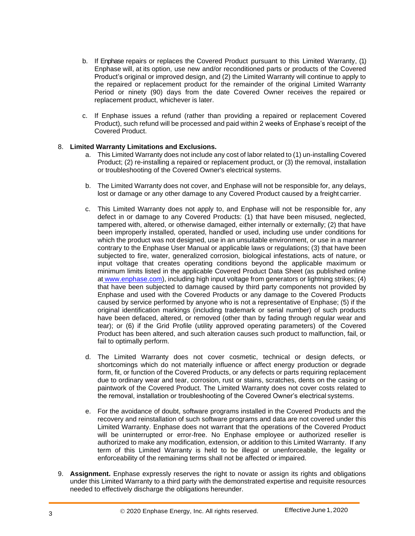- b. If Enphase repairs or replaces the Covered Product pursuant to this Limited Warranty, (1) Enphase will, at its option, use new and/or reconditioned parts or products of the Covered Product's original or improved design, and (2) the Limited Warranty will continue to apply to the repaired or replacement product for the remainder of the original Limited Warranty Period or ninety (90) days from the date Covered Owner receives the repaired or replacement product, whichever is later.
- c. If Enphase issues a refund (rather than providing a repaired or replacement Covered Product), such refund will be processed and paid within 2 weeks of Enphase's receipt of the Covered Product.

#### 8. **Limited Warranty Limitations and Exclusions.**

- a. This Limited Warranty does not include any cost of labor related to (1) un-installing Covered Product; (2) re-installing a repaired or replacement product, or (3) the removal, installation or troubleshooting of the Covered Owner's electrical systems.
- b. The Limited Warranty does not cover, and Enphase will not be responsible for, any delays, lost or damage or any other damage to any Covered Product caused by a freight carrier.
- c. This Limited Warranty does not apply to, and Enphase will not be responsible for, any defect in or damage to any Covered Products: (1) that have been misused, neglected, tampered with, altered, or otherwise damaged, either internally or externally; (2) that have been improperly installed, operated, handled or used, including use under conditions for which the product was not designed, use in an unsuitable environment, or use in a manner contrary to the Enphase User Manual or applicable laws or regulations; (3) that have been subjected to fire, water, generalized corrosion, biological infestations, acts of nature, or input voltage that creates operating conditions beyond the applicable maximum or minimum limits listed in the applicable Covered Product Data Sheet (as published online at [www.enphase.com\)](http://www.enphase.com/), including high input voltage from generators or lightning strikes; (4) that have been subjected to damage caused by third party components not provided by Enphase and used with the Covered Products or any damage to the Covered Products caused by service performed by anyone who is not a representative of Enphase; (5) if the original identification markings (including trademark or serial number) of such products have been defaced, altered, or removed (other than by fading through regular wear and tear); or (6) if the Grid Profile (utility approved operating parameters) of the Covered Product has been altered, and such alteration causes such product to malfunction, fail, or fail to optimally perform.
- d. The Limited Warranty does not cover cosmetic, technical or design defects, or shortcomings which do not materially influence or affect energy production or degrade form, fit, or function of the Covered Products, or any defects or parts requiring replacement due to ordinary wear and tear, corrosion, rust or stains, scratches, dents on the casing or paintwork of the Covered Product. The Limited Warranty does not cover costs related to the removal, installation or troubleshooting of the Covered Owner's electrical systems.
- e. For the avoidance of doubt, software programs installed in the Covered Products and the recovery and reinstallation of such software programs and data are not covered under this Limited Warranty. Enphase does not warrant that the operations of the Covered Product will be uninterrupted or error-free. No Enphase employee or authorized reseller is authorized to make any modification, extension, or addition to this Limited Warranty. If any term of this Limited Warranty is held to be illegal or unenforceable, the legality or enforceability of the remaining terms shall not be affected or impaired.
- 9. **Assignment.** Enphase expressly reserves the right to novate or assign its rights and obligations under this Limited Warranty to a third party with the demonstrated expertise and requisite resources needed to effectively discharge the obligations hereunder.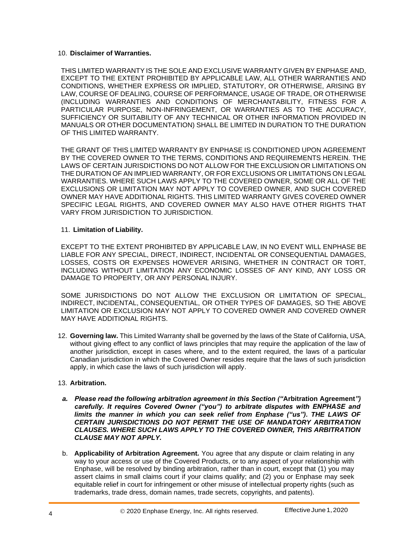#### 10. **Disclaimer of Warranties.**

THIS LIMITED WARRANTY IS THE SOLE AND EXCLUSIVE WARRANTY GIVEN BY ENPHASE AND, EXCEPT TO THE EXTENT PROHIBITED BY APPLICABLE LAW, ALL OTHER WARRANTIES AND CONDITIONS, WHETHER EXPRESS OR IMPLIED, STATUTORY, OR OTHERWISE, ARISING BY LAW, COURSE OF DEALING, COURSE OF PERFORMANCE, USAGE OF TRADE, OR OTHERWISE (INCLUDING WARRANTIES AND CONDITIONS OF MERCHANTABILITY, FITNESS FOR A PARTICULAR PURPOSE, NON-INFRINGEMENT, OR WARRANTIES AS TO THE ACCURACY, SUFFICIENCY OR SUITABILITY OF ANY TECHNICAL OR OTHER INFORMATION PROVIDED IN MANUALS OR OTHER DOCUMENTATION) SHALL BE LIMITED IN DURATION TO THE DURATION OF THIS LIMITED WARRANTY.

THE GRANT OF THIS LIMITED WARRANTY BY ENPHASE IS CONDITIONED UPON AGREEMENT BY THE COVERED OWNER TO THE TERMS, CONDITIONS AND REQUIREMENTS HEREIN. THE LAWS OF CERTAIN JURISDICTIONS DO NOT ALLOW FOR THE EXCLUSION OR LIMITATIONS ON THE DURATION OF AN IMPLIED WARRANTY, OR FOR EXCLUSIONS OR LIMITATIONS ON LEGAL WARRANTIES. WHERE SUCH LAWS APPLY TO THE COVERED OWNER, SOME OR ALL OF THE EXCLUSIONS OR LIMITATION MAY NOT APPLY TO COVERED OWNER, AND SUCH COVERED OWNER MAY HAVE ADDITIONAL RIGHTS. THIS LIMITED WARRANTY GIVES COVERED OWNER SPECIFIC LEGAL RIGHTS, AND COVERED OWNER MAY ALSO HAVE OTHER RIGHTS THAT VARY FROM JURISDICTION TO JURISDICTION.

#### 11. **Limitation of Liability.**

EXCEPT TO THE EXTENT PROHIBITED BY APPLICABLE LAW, IN NO EVENT WILL ENPHASE BE LIABLE FOR ANY SPECIAL, DIRECT, INDIRECT, INCIDENTAL OR CONSEQUENTIAL DAMAGES, LOSSES, COSTS OR EXPENSES HOWEVER ARISING, WHETHER IN CONTRACT OR TORT, INCLUDING WITHOUT LIMITATION ANY ECONOMIC LOSSES OF ANY KIND, ANY LOSS OR DAMAGE TO PROPERTY, OR ANY PERSONAL INJURY.

SOME JURISDICTIONS DO NOT ALLOW THE EXCLUSION OR LIMITATION OF SPECIAL, INDIRECT, INCIDENTAL, CONSEQUENTIAL, OR OTHER TYPES OF DAMAGES, SO THE ABOVE LIMITATION OR EXCLUSION MAY NOT APPLY TO COVERED OWNER AND COVERED OWNER MAY HAVE ADDITIONAL RIGHTS.

12. **Governing law.** This Limited Warranty shall be governed by the laws of the State of California, USA, without giving effect to any conflict of laws principles that may require the application of the law of another jurisdiction, except in cases where, and to the extent required, the laws of a particular Canadian jurisdiction in which the Covered Owner resides require that the laws of such jurisdiction apply, in which case the laws of such jurisdiction will apply.

#### 13. **Arbitration.**

- *a. Please read the following arbitration agreement in this Section ("***Arbitration Agreement***") carefully. It requires Covered Owner ("you") to arbitrate disputes with ENPHASE and limits the manner in which you can seek relief from Enphase ("us"). THE LAWS OF CERTAIN JURISDICTIONS DO NOT PERMIT THE USE OF MANDATORY ARBITRATION CLAUSES. WHERE SUCH LAWS APPLY TO THE COVERED OWNER, THIS ARBITRATION CLAUSE MAY NOT APPLY.*
- b. **Applicability of Arbitration Agreement***.* You agree that any dispute or claim relating in any way to your access or use of the Covered Products, or to any aspect of your relationship with Enphase, will be resolved by binding arbitration, rather than in court, except that (1) you may assert claims in small claims court if your claims qualify; and (2) you or Enphase may seek equitable relief in court for infringement or other misuse of intellectual property rights (such as trademarks, trade dress, domain names, trade secrets, copyrights, and patents).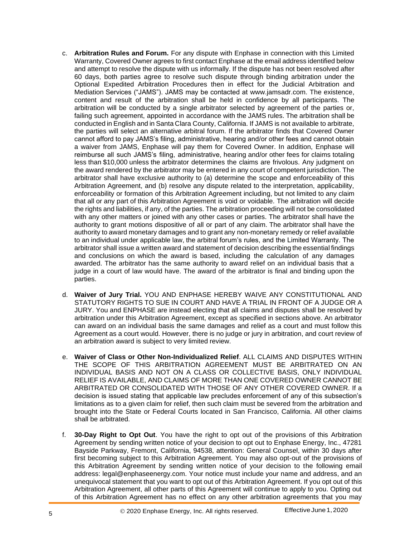- c. **Arbitration Rules and Forum.** For any dispute with Enphase in connection with this Limited Warranty, Covered Owner agrees to first contact Enphase at the email address identified below and attempt to resolve the dispute with us informally. If the dispute has not been resolved after 60 days, both parties agree to resolve such dispute through binding arbitration under the Optional Expedited Arbitration Procedures then in effect for the Judicial Arbitration and Mediation Services ("JAMS"). JAMS may be contacted at [www.jamsadr.com. T](http://www.jamsadr.com/)he existence, content and result of the arbitration shall be held in confidence by all participants. The arbitration will be conducted by a single arbitrator selected by agreement of the parties or, failing such agreement, appointed in accordance with the JAMS rules. The arbitration shall be conducted in English and in Santa Clara County, California. If JAMS is not available to arbitrate, the parties will select an alternative arbitral forum. If the arbitrator finds that Covered Owner cannot afford to pay JAMS's filing, administrative, hearing and/or other fees and cannot obtain a waiver from JAMS, Enphase will pay them for Covered Owner. In addition, Enphase will reimburse all such JAMS's filing, administrative, hearing and/or other fees for claims totaling less than \$10,000 unless the arbitrator determines the claims are frivolous. Any judgment on the award rendered by the arbitrator may be entered in any court of competent jurisdiction. The arbitrator shall have exclusive authority to (a) determine the scope and enforceability of this Arbitration Agreement, and (b) resolve any dispute related to the interpretation, applicability, enforceability or formation of this Arbitration Agreement including, but not limited to any claim that all or any part of this Arbitration Agreement is void or voidable. The arbitration will decide the rights and liabilities, if any, of the parties. The arbitration proceeding will not be consolidated with any other matters or joined with any other cases or parties. The arbitrator shall have the authority to grant motions dispositive of all or part of any claim. The arbitrator shall have the authority to award monetary damages and to grant any non-monetary remedy or relief available to an individual under applicable law, the arbitral forum's rules, and the Limited Warranty. The arbitrator shall issue a written award and statement of decision describing the essential findings and conclusions on which the award is based, including the calculation of any damages awarded. The arbitrator has the same authority to award relief on an individual basis that a judge in a court of law would have. The award of the arbitrator is final and binding upon the parties.
- d. **Waiver of Jury Trial.** YOU AND ENPHASE HEREBY WAIVE ANY CONSTITUTIONAL AND STATUTORY RIGHTS TO SUE IN COURT AND HAVE A TRIAL IN FRONT OF A JUDGE OR A JURY. You and ENPHASE are instead electing that all claims and disputes shall be resolved by arbitration under this Arbitration Agreement, except as specified in sections above. An arbitrator can award on an individual basis the same damages and relief as a court and must follow this Agreement as a court would. However, there is no judge or jury in arbitration, and court review of an arbitration award is subject to very limited review.
- e. **Waiver of Class or Other Non-Individualized Relief**. ALL CLAIMS AND DISPUTES WITHIN THE SCOPE OF THIS ARBITRATION AGREEMENT MUST BE ARBITRATED ON AN INDIVIDUAL BASIS AND NOT ON A CLASS OR COLLECTIVE BASIS, ONLY INDIVIDUAL RELIEF IS AVAILABLE, AND CLAIMS OF MORE THAN ONE COVERED OWNER CANNOT BE ARBITRATED OR CONSOLIDATED WITH THOSE OF ANY OTHER COVERED OWNER. If a decision is issued stating that applicable law precludes enforcement of any of this subsection's limitations as to a given claim for relief, then such claim must be severed from the arbitration and brought into the State or Federal Courts located in San Francisco, California. All other claims shall be arbitrated.
- f. **30-Day Right to Opt Out**. You have the right to opt out of the provisions of this Arbitration Agreement by sending written notice of your decision to opt out to Enphase Energy, Inc., 47281 Bayside Parkway, Fremont, California, 94538, attention: General Counsel, within 30 days after first becoming subject to this Arbitration Agreement. You may also opt-out of the provisions of this Arbitration Agreement by sending written notice of your decision to the following email address: [legal@enphaseenergy.com.](mailto:legal@enphaseenergy.com) Your notice must include your name and address, and an unequivocal statement that you want to opt out of this Arbitration Agreement. If you opt out of this Arbitration Agreement, all other parts of this Agreement will continue to apply to you. Opting out of this Arbitration Agreement has no effect on any other arbitration agreements that you may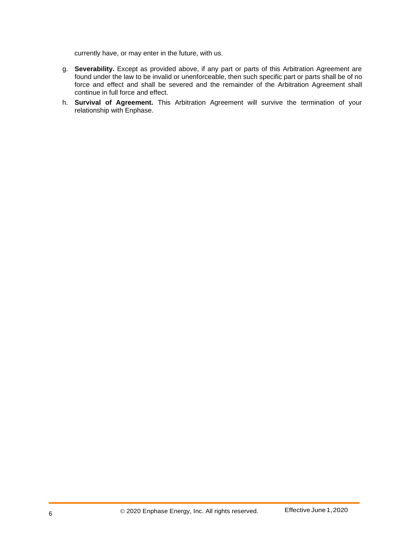currently have, or may enter in the future, with us.

- g. **Severability.** Except as provided above, if any part or parts of this Arbitration Agreement are found under the law to be invalid or unenforceable, then such specific part or parts shall be of no force and effect and shall be severed and the remainder of the Arbitration Agreement shall continue in full force and effect.
- h. **Survival of Agreement.** This Arbitration Agreement will survive the termination of your relationship with Enphase.